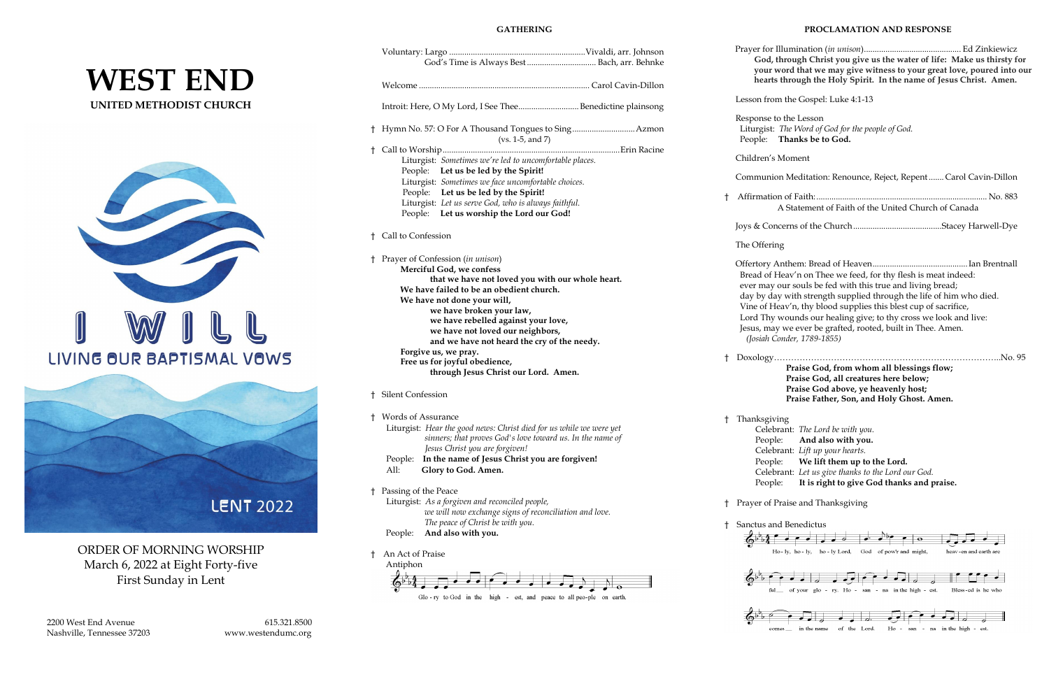# **WEST END UNITED METHODIST CHURCH**





ORDER OF MORNING WORSHIP March 6, 2022 at Eight Forty-five First Sunday in Lent

#### **GATHERING**

|    | God's Time is Always Best  Bach, arr. Behnke                                                                                                                                                                                                                                                                                                      |    | Prayer for Illuminat<br>God, through<br>your word tha<br>hearts through                                                                                               |
|----|---------------------------------------------------------------------------------------------------------------------------------------------------------------------------------------------------------------------------------------------------------------------------------------------------------------------------------------------------|----|-----------------------------------------------------------------------------------------------------------------------------------------------------------------------|
|    | Introit: Here, O My Lord, I See TheeBenedictine plainsong                                                                                                                                                                                                                                                                                         |    | Lesson from the Go                                                                                                                                                    |
|    | $(vs. 1-5, and 7)$                                                                                                                                                                                                                                                                                                                                |    | Response to the Les<br>Liturgist: The Wor<br>People: Thanks                                                                                                           |
| t  | Liturgist: Sometimes we're led to uncomfortable places.                                                                                                                                                                                                                                                                                           |    | Children's Moment                                                                                                                                                     |
|    | People: Let us be led by the Spirit!<br>Liturgist: Sometimes we face uncomfortable choices.                                                                                                                                                                                                                                                       |    | <b>Communion Medit</b>                                                                                                                                                |
|    | People: Let us be led by the Spirit!<br>Liturgist: Let us serve God, who is always faithful.<br>People: Let us worship the Lord our God!                                                                                                                                                                                                          | t. | Affirmation of Fait<br>A Staten                                                                                                                                       |
|    |                                                                                                                                                                                                                                                                                                                                                   |    | Joys & Concerns of                                                                                                                                                    |
| Ť  | Call to Confession                                                                                                                                                                                                                                                                                                                                |    | The Offering                                                                                                                                                          |
|    | Prayer of Confession (in unison)<br>Merciful God, we confess<br>that we have not loved you with our whole heart.<br>We have failed to be an obedient church.<br>We have not done your will,<br>we have broken your law,<br>we have rebelled against your love,<br>we have not loved our neighbors,<br>and we have not heard the cry of the needy. |    | Offertory Anthem:<br>Bread of Heav'n o<br>ever may our soul<br>day by day with st<br>Vine of Heav'n, th<br>Lord Thy wounds<br>Jesus, may we eve<br>(Josiah Conder, 17 |
|    | Forgive us, we pray.<br>Free us for joyful obedience,<br>through Jesus Christ our Lord. Amen.                                                                                                                                                                                                                                                     | t. | Doxology<br>Praise<br>Praise                                                                                                                                          |
| Ť. | <b>Silent Confession</b>                                                                                                                                                                                                                                                                                                                          |    | Praise<br>Praise                                                                                                                                                      |
|    | † Words of Assurance<br>Liturgist: Hear the good news: Christ died for us while we were yet<br>sinners; that proves God's love toward us. In the name of<br>Jesus Christ you are forgiven!<br>In the name of Jesus Christ you are forgiven!<br>People:<br>All:<br>Glory to God. Amen.                                                             | Ť  | Thanksgiving<br>Celebrant: Th<br>People:<br>Ar<br>Celebrant: Lif<br>People:<br>$\mathbf{W}$<br>Celebrant: Let<br>People:<br>It i                                      |
| Ť. | Passing of the Peace<br>Liturgist: As a forgiven and reconciled people,<br>we will now exchange signs of reconciliation and love.                                                                                                                                                                                                                 |    | Prayer of Praise and                                                                                                                                                  |
|    | The peace of Christ be with you.<br>And also with you.<br>People:                                                                                                                                                                                                                                                                                 | t  | Sanctus and Bened:                                                                                                                                                    |
| t  | An Act of Praise<br>Antiphon                                                                                                                                                                                                                                                                                                                      |    | $Ho - ly, ho - ly$<br>of your                                                                                                                                         |

www.westendumc.org

#### **PROCLAMATION AND RESPONSE**

|            | God, through Christ you give us the water of life: Make us thirsty for<br>your word that we may give witness to your great love, poured into our<br>hearts through the Holy Spirit. In the name of Jesus Christ. Amen.                                                                                                                                                                                                                  |  |  |
|------------|-----------------------------------------------------------------------------------------------------------------------------------------------------------------------------------------------------------------------------------------------------------------------------------------------------------------------------------------------------------------------------------------------------------------------------------------|--|--|
|            | Lesson from the Gospel: Luke 4:1-13                                                                                                                                                                                                                                                                                                                                                                                                     |  |  |
|            | Response to the Lesson<br>Liturgist: The Word of God for the people of God.<br>People: Thanks be to God.                                                                                                                                                                                                                                                                                                                                |  |  |
|            | Children's Moment                                                                                                                                                                                                                                                                                                                                                                                                                       |  |  |
|            | Communion Meditation: Renounce, Reject, Repent Carol Cavin-Dillon                                                                                                                                                                                                                                                                                                                                                                       |  |  |
| $^\dagger$ | A Statement of Faith of the United Church of Canada                                                                                                                                                                                                                                                                                                                                                                                     |  |  |
|            |                                                                                                                                                                                                                                                                                                                                                                                                                                         |  |  |
|            | The Offering                                                                                                                                                                                                                                                                                                                                                                                                                            |  |  |
|            | Bread of Heav'n on Thee we feed, for thy flesh is meat indeed:<br>ever may our souls be fed with this true and living bread;<br>day by day with strength supplied through the life of him who died.<br>Vine of Heav'n, thy blood supplies this blest cup of sacrifice,<br>Lord Thy wounds our healing give; to thy cross we look and live:<br>Jesus, may we ever be grafted, rooted, built in Thee. Amen.<br>(Josiah Conder, 1789-1855) |  |  |
|            | Praise God, from whom all blessings flow;<br>Praise God, all creatures here below;<br>Praise God above, ye heavenly host;<br>Praise Father, Son, and Holy Ghost. Amen.                                                                                                                                                                                                                                                                  |  |  |
|            | † Thanksgiving<br>Celebrant: The Lord be with you.<br>People:<br>And also with you.<br>Celebrant: Lift up your hearts.<br>We lift them up to the Lord.<br>People:<br>Celebrant: Let us give thanks to the Lord our God.<br>It is right to give God thanks and praise.<br>People:                                                                                                                                                        |  |  |
| t          | Prayer of Praise and Thanksgiving                                                                                                                                                                                                                                                                                                                                                                                                       |  |  |
| t          | Sanctus and Benedictus<br>$Ho - ly, ho - ly,$<br>ho - ly Lord,<br>God of pow'r and might,<br>heav-en and earth are                                                                                                                                                                                                                                                                                                                      |  |  |
|            | of your glo - ry. Ho - san - na in the high - est.<br>Bless-ed is he who<br>ful__                                                                                                                                                                                                                                                                                                                                                       |  |  |